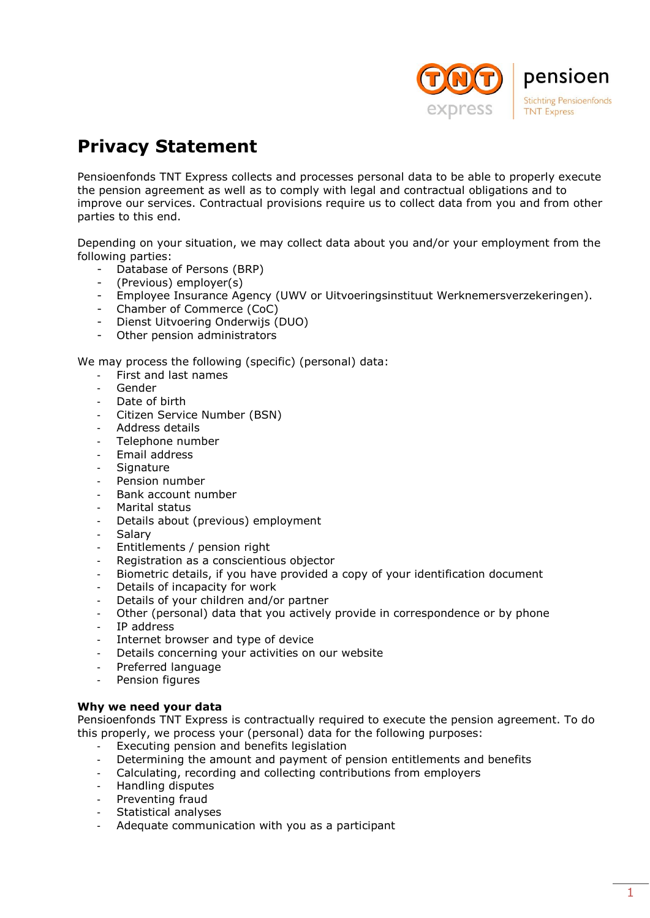

# **Privacy Statement**

Pensioenfonds TNT Express collects and processes personal data to be able to properly execute the pension agreement as well as to comply with legal and contractual obligations and to improve our services. Contractual provisions require us to collect data from you and from other parties to this end.

Depending on your situation, we may collect data about you and/or your employment from the following parties:

- Database of Persons (BRP)
- (Previous) employer(s)
- Employee Insurance Agency (UWV or Uitvoeringsinstituut Werknemersverzekeringen).
- Chamber of Commerce (CoC)
- Dienst Uitvoering Onderwijs (DUO)
- Other pension administrators

We may process the following (specific) (personal) data:

- First and last names
- Gender
- Date of birth
- Citizen Service Number (BSN)
- Address details
- Telephone number
- Email address
- Signature
- Pension number
- Bank account number
- Marital status
- Details about (previous) employment
- Salary
- Entitlements / pension right
- Registration as a conscientious objector
- Biometric details, if you have provided a copy of your identification document
- Details of incapacity for work
- Details of your children and/or partner
- Other (personal) data that you actively provide in correspondence or by phone
- IP address
- Internet browser and type of device
- Details concerning your activities on our website
- Preferred language
- Pension figures

## **Why we need your data**

Pensioenfonds TNT Express is contractually required to execute the pension agreement. To do this properly, we process your (personal) data for the following purposes:

- Executing pension and benefits legislation
- Determining the amount and payment of pension entitlements and benefits
- Calculating, recording and collecting contributions from employers
- Handling disputes
- Preventing fraud
- Statistical analyses
- Adequate communication with you as a participant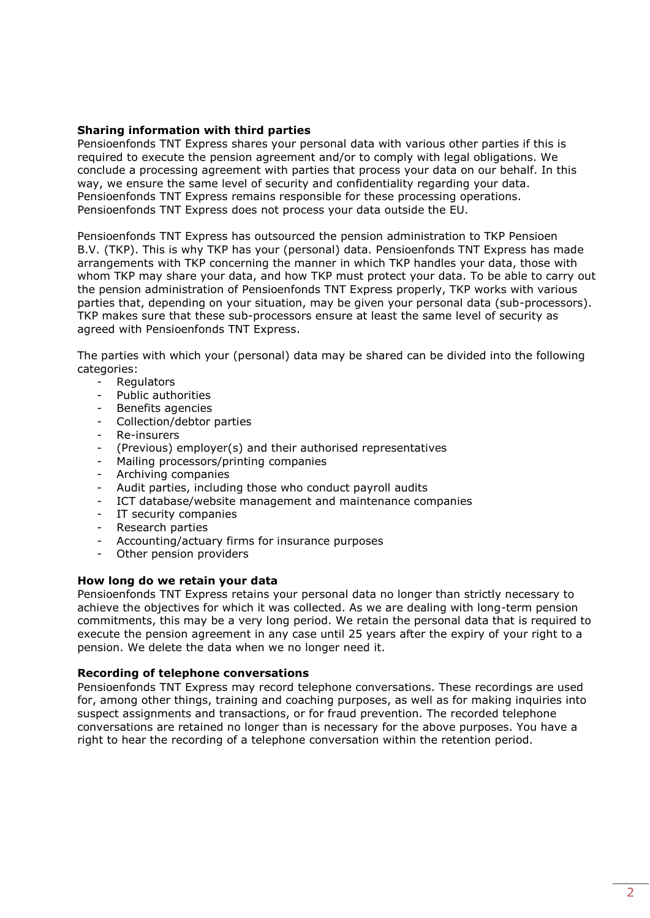## **Sharing information with third parties**

Pensioenfonds TNT Express shares your personal data with various other parties if this is required to execute the pension agreement and/or to comply with legal obligations. We conclude a processing agreement with parties that process your data on our behalf. In this way, we ensure the same level of security and confidentiality regarding your data. Pensioenfonds TNT Express remains responsible for these processing operations. Pensioenfonds TNT Express does not process your data outside the EU.

Pensioenfonds TNT Express has outsourced the pension administration to TKP Pensioen B.V. (TKP). This is why TKP has your (personal) data. Pensioenfonds TNT Express has made arrangements with TKP concerning the manner in which TKP handles your data, those with whom TKP may share your data, and how TKP must protect your data. To be able to carry out the pension administration of Pensioenfonds TNT Express properly, TKP works with various parties that, depending on your situation, may be given your personal data (sub-processors). TKP makes sure that these sub-processors ensure at least the same level of security as agreed with Pensioenfonds TNT Express.

The parties with which your (personal) data may be shared can be divided into the following categories:

- Regulators
- Public authorities
- Benefits agencies
- Collection/debtor parties
- Re-insurers
- (Previous) employer(s) and their authorised representatives
- Mailing processors/printing companies
- Archiving companies
- Audit parties, including those who conduct payroll audits
- ICT database/website management and maintenance companies
- IT security companies
- Research parties
- Accounting/actuary firms for insurance purposes
- Other pension providers

## **How long do we retain your data**

Pensioenfonds TNT Express retains your personal data no longer than strictly necessary to achieve the objectives for which it was collected. As we are dealing with long-term pension commitments, this may be a very long period. We retain the personal data that is required to execute the pension agreement in any case until 25 years after the expiry of your right to a pension. We delete the data when we no longer need it.

## **Recording of telephone conversations**

Pensioenfonds TNT Express may record telephone conversations. These recordings are used for, among other things, training and coaching purposes, as well as for making inquiries into suspect assignments and transactions, or for fraud prevention. The recorded telephone conversations are retained no longer than is necessary for the above purposes. You have a right to hear the recording of a telephone conversation within the retention period.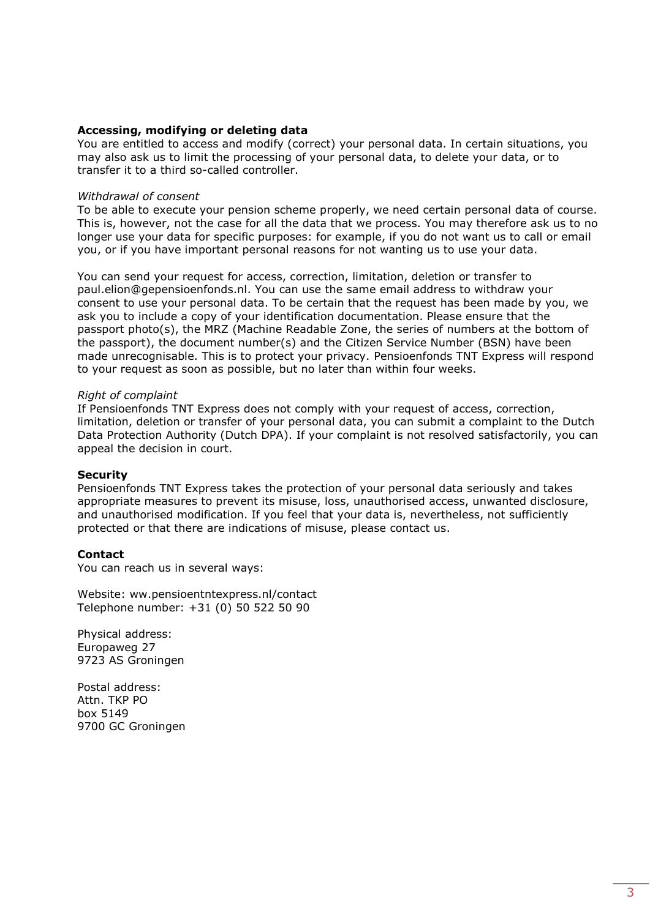## **Accessing, modifying or deleting data**

You are entitled to access and modify (correct) your personal data. In certain situations, you may also ask us to limit the processing of your personal data, to delete your data, or to transfer it to a third so-called controller.

#### *Withdrawal of consent*

To be able to execute your pension scheme properly, we need certain personal data of course. This is, however, not the case for all the data that we process. You may therefore ask us to no longer use your data for specific purposes: for example, if you do not want us to call or email you, or if you have important personal reasons for not wanting us to use your data.

You can send your request for access, correction, limitation, deletion or transfer t[o](mailto:paul.elion@gepensioenfonds.nl) [paul.elion@gepensioenfonds.nl. Y](mailto:paul.elion@gepensioenfonds.nl)ou can use the same email address to withdraw your consent to use your personal data. To be certain that the request has been made by you, we ask you to include a copy of your identification documentation. Please ensure that the passport photo(s), the MRZ (Machine Readable Zone, the series of numbers at the bottom of the passport), the document number(s) and the Citizen Service Number (BSN) have been made unrecognisable. This is to protect your privacy. Pensioenfonds TNT Express will respond to your request as soon as possible, but no later than within four weeks.

#### *Right of complaint*

If Pensioenfonds TNT Express does not comply with your request of access, correction, limitation, deletion or transfer of your personal data, you can submit a complaint to the Dutch Data Protection Authority (Dutch DPA). If your complaint is not resolved satisfactorily, you can appeal the decision in court.

#### **Security**

Pensioenfonds TNT Express takes the protection of your personal data seriously and takes appropriate measures to prevent its misuse, loss, unauthorised access, unwanted disclosure, and unauthorised modification. If you feel that your data is, nevertheless, not sufficiently protected or that there are indications of misuse, please contact us.

## **Contact**

You can reach us in several ways:

Website: ww.pensioentntexpress.nl/contact Telephone number: +31 (0) 50 522 50 90

Physical address: Europaweg 27 9723 AS Groningen

Postal address: Attn. TKP PO box 5149 9700 GC Groningen